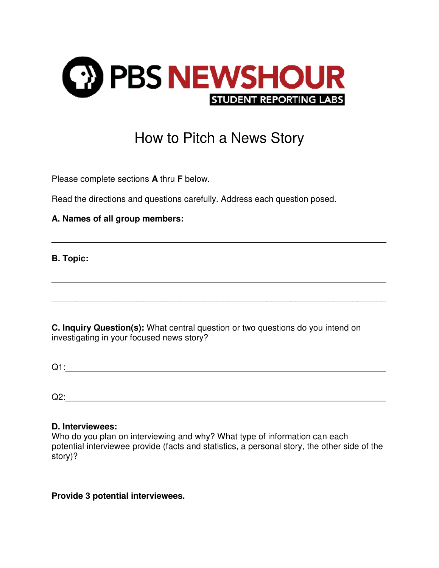

## How to Pitch a News Story

\_\_\_\_\_\_\_\_\_\_\_\_\_\_\_\_\_\_\_\_\_\_\_\_\_\_\_\_\_\_\_\_\_\_\_\_\_\_\_\_\_\_\_\_\_\_\_\_\_\_\_\_\_\_\_\_\_\_\_\_\_\_\_\_\_\_\_\_\_\_

\_\_\_\_\_\_\_\_\_\_\_\_\_\_\_\_\_\_\_\_\_\_\_\_\_\_\_\_\_\_\_\_\_\_\_\_\_\_\_\_\_\_\_\_\_\_\_\_\_\_\_\_\_\_\_\_\_\_\_\_\_\_\_\_\_\_\_\_\_\_

\_\_\_\_\_\_\_\_\_\_\_\_\_\_\_\_\_\_\_\_\_\_\_\_\_\_\_\_\_\_\_\_\_\_\_\_\_\_\_\_\_\_\_\_\_\_\_\_\_\_\_\_\_\_\_\_\_\_\_\_\_\_\_\_\_\_\_\_\_\_

Please complete sections **A** thru **F** below.

Read the directions and questions carefully. Address each question posed.

## **A. Names of all group members:**

**B. Topic:** 

**C. Inquiry Question(s):** What central question or two questions do you intend on investigating in your focused news story?

 $Q1:$ 

 $Q2:$ 

## **D. Interviewees:**

Who do you plan on interviewing and why? What type of information can each potential interviewee provide (facts and statistics, a personal story, the other side of the story)?

**Provide 3 potential interviewees.**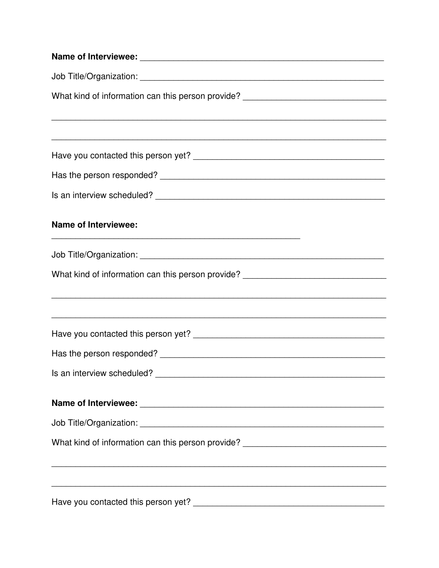| What kind of information can this person provide? ______________________________                                                                                     |
|----------------------------------------------------------------------------------------------------------------------------------------------------------------------|
|                                                                                                                                                                      |
|                                                                                                                                                                      |
|                                                                                                                                                                      |
|                                                                                                                                                                      |
|                                                                                                                                                                      |
| <b>Name of Interviewee:</b>                                                                                                                                          |
|                                                                                                                                                                      |
| What kind of information can this person provide? ______________________________<br>,我们也不会有什么。""我们的人,我们也不会有什么?""我们的人,我们也不会有什么?""我们的人,我们也不会有什么?""我们的人,我们也不会有什么?""我们的人 |
|                                                                                                                                                                      |
|                                                                                                                                                                      |
|                                                                                                                                                                      |
|                                                                                                                                                                      |
|                                                                                                                                                                      |
| What kind of information can this person provide? ______________________________                                                                                     |
| ,我们也不会有什么。""我们的人,我们也不会有什么?""我们的人,我们也不会有什么?""我们的人,我们也不会有什么?""我们的人,我们也不会有什么?""我们的人                                                                                     |
|                                                                                                                                                                      |